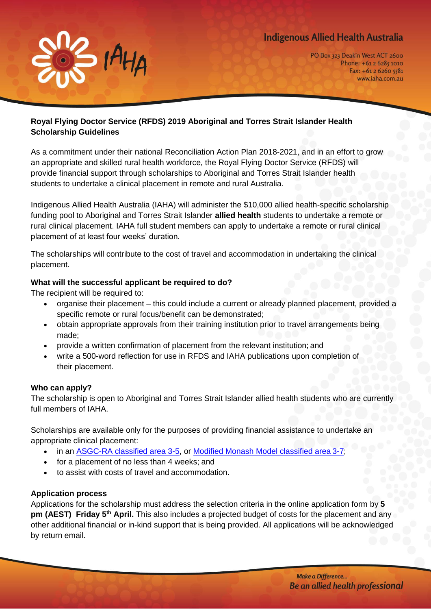# **Indigenous Allied Health Australia**



PO Box 323 Deakin West ACT 2600 Phone: +61 2 6285 1010  $Fax: +61262605581$ www.iaha.com.au

## **Royal Flying Doctor Service (RFDS) 2019 Aboriginal and Torres Strait Islander Health Scholarship Guidelines**

As a commitment under their national Reconciliation Action Plan 2018-2021, and in an effort to grow an appropriate and skilled rural health workforce, the Royal Flying Doctor Service (RFDS) will provide financial support through scholarships to Aboriginal and Torres Strait Islander health students to undertake a clinical placement in remote and rural Australia.

Indigenous Allied Health Australia (IAHA) will administer the \$10,000 allied health-specific scholarship funding pool to Aboriginal and Torres Strait Islander **allied health** students to undertake a remote or rural clinical placement. IAHA full student members can apply to undertake a remote or rural clinical placement of at least four weeks' duration.

The scholarships will contribute to the cost of travel and accommodation in undertaking the clinical placement.

## **What will the successful applicant be required to do?**

The recipient will be required to:

- organise their placement this could include a current or already planned placement, provided a specific remote or rural focus/benefit can be demonstrated;
- obtain appropriate approvals from their training institution prior to travel arrangements being made;
- provide a written confirmation of placement from the relevant institution; and
- write a 500-word reflection for use in RFDS and IAHA publications upon completion of their placement.

## **Who can apply?**

The scholarship is open to Aboriginal and Torres Strait Islander allied health students who are currently full members of IAHA.

Scholarships are available only for the purposes of providing financial assistance to undertake an appropriate clinical placement:

- in an [ASGC-RA classified area 3-5,](http://www.health.gov.au/internet/otd/publishing.nsf/content/ra-intro) or [Modified Monash Model classified area](http://www.doctorconnect.gov.au/internet/otd/publishing.nsf/Content/MMM_locator) 3-7;
- for a placement of no less than 4 weeks; and
- to assist with costs of travel and accommodation.

#### **Application process**

Applications for the scholarship must address the selection criteria in the online application form by **5 pm (AEST) Friday 5th April.** This also includes a projected budget of costs for the placement and any other additional financial or in-kind support that is being provided. All applications will be acknowledged by return email.